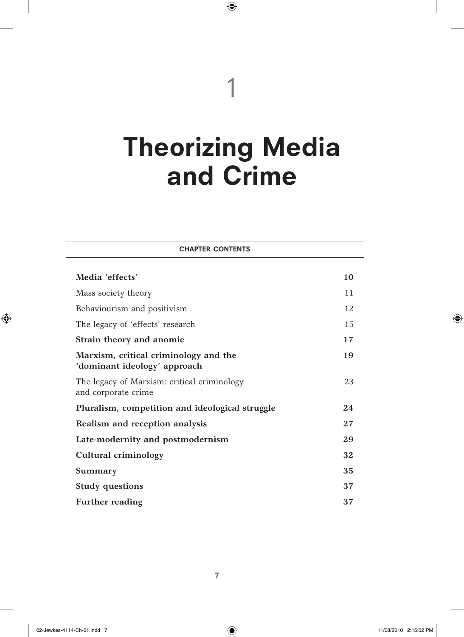# Theorizing Media and Crime

1

 $\bigoplus$ 

| <b>CHAPTER CONTENTS</b>                                               |    |
|-----------------------------------------------------------------------|----|
| Media 'effects'                                                       | 10 |
| Mass society theory                                                   | 11 |
| Behaviourism and positivism                                           | 12 |
| The legacy of 'effects' research                                      | 15 |
| Strain theory and anomie                                              | 17 |
| Marxism, critical criminology and the<br>'dominant ideology' approach | 19 |
| The legacy of Marxism: critical criminology<br>and corporate crime    | 23 |
| Pluralism, competition and ideological struggle                       | 24 |
| Realism and reception analysis                                        | 27 |
| Late-modernity and postmodernism                                      | 29 |
| <b>Cultural criminology</b>                                           | 32 |
| Summary                                                               | 35 |
| <b>Study questions</b>                                                | 37 |
| <b>Further reading</b>                                                | 37 |

 $\bigoplus$ 

 $\bigoplus$ 

7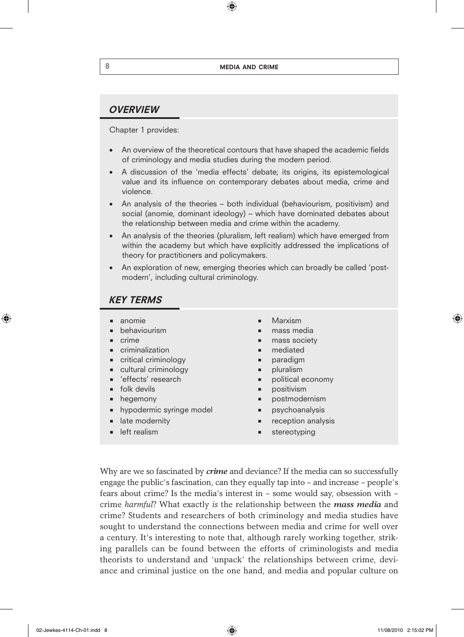$\bigoplus$ 

# **OVERVIEW**

Chapter 1 provides:

- An overview of the theoretical contours that have shaped the academic fields of criminology and media studies during the modern period.
- A discussion of the 'media effects' debate; its origins, its epistemological value and its influence on contemporary debates about media, crime and violence.
- An analysis of the theories both individual (behaviourism, positivism) and social (anomie, dominant ideology) – which have dominated debates about the relationship between media and crime within the academy.
- An analysis of the theories (pluralism, left realism) which have emerged from within the academy but which have explicitly addressed the implications of theory for practitioners and policymakers.
- An exploration of new, emerging theories which can broadly be called 'postmodern', including cultural criminology.

# KEY TERMS

■ anomie ■ Marxism

⊕

- behaviourism mass media
- crime mass society
- criminalization mediated
- critical criminology paradigm
- cultural criminology pluralism
- 
- 
- 
- hypodermic syringe model psychoanalysis
- 
- 
- 
- 
- 
- 
- 
- 
- 'effects' research <br>■ political economy
- folk devils positivism
- hegemony postmodernism
	-
- late modernity <br>■ reception analysis
- left realism <br>■ stereotyping

Why are we so fascinated by *crime* and deviance? If the media can so successfully engage the public's fascination, can they equally tap into – and increase – people's fears about crime? Is the media's interest in – some would say, obsession with – crime *harmful*? What exactly *is* the relationship between the *mass media* and crime? Students and researchers of both criminology and media studies have sought to understand the connections between media and crime for well over a century. It's interesting to note that, although rarely working together, striking parallels can be found between the efforts of criminologists and media theorists to understand and 'unpack' the relationships between crime, deviance and criminal justice on the one hand, and media and popular culture on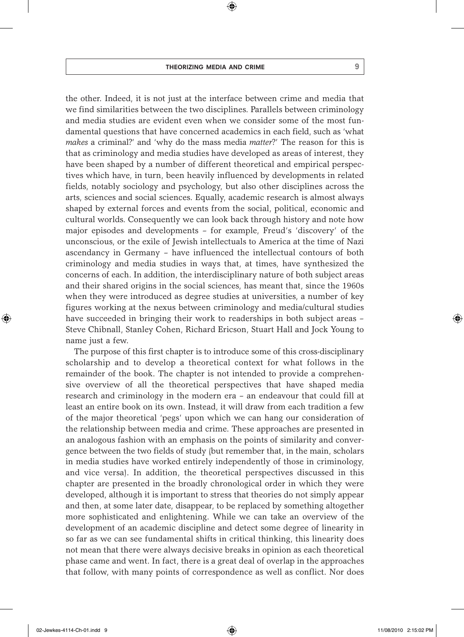# THEORIZING MEDIA AND CRIME **1998** 9

⊕

the other. Indeed, it is not just at the interface between crime and media that we find similarities between the two disciplines. Parallels between criminology and media studies are evident even when we consider some of the most fundamental questions that have concerned academics in each field, such as 'what *makes* a criminal?' and 'why do the mass media *matter*?' The reason for this is that as criminology and media studies have developed as areas of interest, they have been shaped by a number of different theoretical and empirical perspectives which have, in turn, been heavily influenced by developments in related fields, notably sociology and psychology, but also other disciplines across the arts, sciences and social sciences. Equally, academic research is almost always shaped by external forces and events from the social, political, economic and cultural worlds. Consequently we can look back through history and note how major episodes and developments – for example, Freud's 'discovery' of the unconscious, or the exile of Jewish intellectuals to America at the time of Nazi ascendancy in Germany – have influenced the intellectual contours of both criminology and media studies in ways that, at times, have synthesized the concerns of each. In addition, the interdisciplinary nature of both subject areas and their shared origins in the social sciences, has meant that, since the 1960s when they were introduced as degree studies at universities, a number of key figures working at the nexus between criminology and media/cultural studies have succeeded in bringing their work to readerships in both subject areas – Steve Chibnall, Stanley Cohen, Richard Ericson, Stuart Hall and Jock Young to name just a few.

The purpose of this first chapter is to introduce some of this cross-disciplinary scholarship and to develop a theoretical context for what follows in the remainder of the book. The chapter is not intended to provide a comprehensive overview of all the theoretical perspectives that have shaped media research and criminology in the modern era – an endeavour that could fill at least an entire book on its own. Instead, it will draw from each tradition a few of the major theoretical 'pegs' upon which we can hang our consideration of the relationship between media and crime. These approaches are presented in an analogous fashion with an emphasis on the points of similarity and convergence between the two fields of study (but remember that, in the main, scholars in media studies have worked entirely independently of those in criminology, and vice versa). In addition, the theoretical perspectives discussed in this chapter are presented in the broadly chronological order in which they were developed, although it is important to stress that theories do not simply appear and then, at some later date, disappear, to be replaced by something altogether more sophisticated and enlightening. While we can take an overview of the development of an academic discipline and detect some degree of linearity in so far as we can see fundamental shifts in critical thinking, this linearity does not mean that there were always decisive breaks in opinion as each theoretical phase came and went. In fact, there is a great deal of overlap in the approaches that follow, with many points of correspondence as well as conflict. Nor does

♠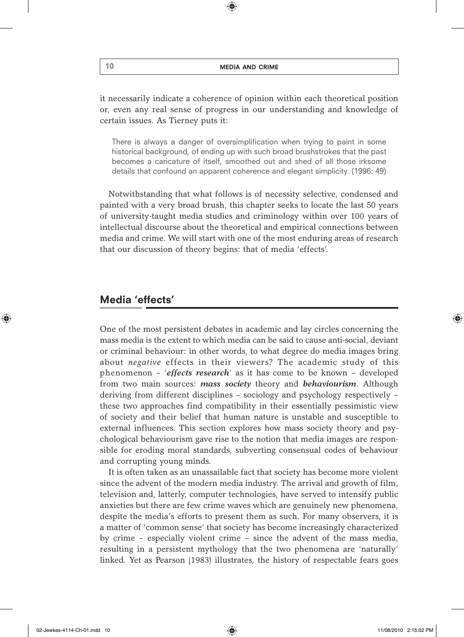⊕

it necessarily indicate a coherence of opinion within each theoretical position or, even any real sense of progress in our understanding and knowledge of certain issues. As Tierney puts it:

There is always a danger of oversimplification when trying to paint in some historical background, of ending up with such broad brushstrokes that the past becomes a caricature of itself, smoothed out and shed of all those irksome details that confound an apparent coherence and elegant simplicity. (1996: 49)

Notwithstanding that what follows is of necessity selective, condensed and painted with a very broad brush, this chapter seeks to locate the last 50 years of university-taught media studies and criminology within over 100 years of intellectual discourse about the theoretical and empirical connections between media and crime. We will start with one of the most enduring areas of research that our discussion of theory begins: that of media 'effects'.

# Media 'effects'

One of the most persistent debates in academic and lay circles concerning the mass media is the extent to which media can be said to cause anti-social, deviant or criminal behaviour: in other words, to what degree do media images bring about *negative* effects in their viewers? The academic study of this phenomenon – '*effects research*' as it has come to be known – developed from two main sources: *mass society* theory and *behaviourism*. Although deriving from different disciplines – sociology and psychology respectively – these two approaches find compatibility in their essentially pessimistic view of society and their belief that human nature is unstable and susceptible to external influences. This section explores how mass society theory and psychological behaviourism gave rise to the notion that media images are responsible for eroding moral standards, subverting consensual codes of behaviour and corrupting young minds.

It is often taken as an unassailable fact that society has become more violent since the advent of the modern media industry. The arrival and growth of film, television and, latterly, computer technologies, have served to intensify public anxieties but there are few crime waves which are genuinely new phenomena, despite the media's efforts to present them as such. For many observers, it is a matter of 'common sense' that society has become increasingly characterized by crime – especially violent crime – since the advent of the mass media, resulting in a persistent mythology that the two phenomena are 'naturally' linked. Yet as Pearson (1983) illustrates, the history of respectable fears goes

♠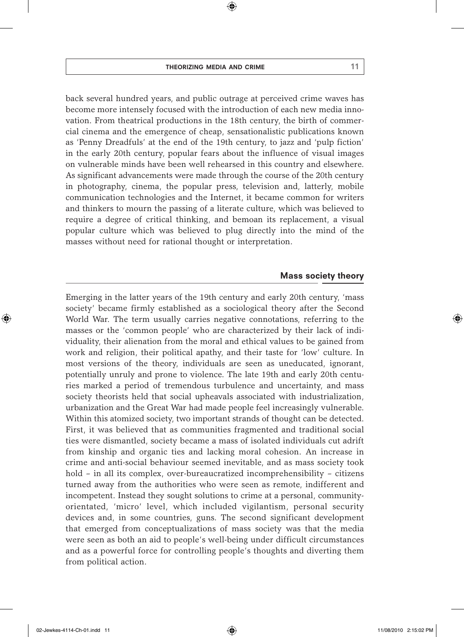⊕

back several hundred years, and public outrage at perceived crime waves has become more intensely focused with the introduction of each new media innovation. From theatrical productions in the 18th century, the birth of commercial cinema and the emergence of cheap, sensationalistic publications known as 'Penny Dreadfuls' at the end of the 19th century, to jazz and 'pulp fiction' in the early 20th century, popular fears about the influence of visual images on vulnerable minds have been well rehearsed in this country and elsewhere. As significant advancements were made through the course of the 20th century in photography, cinema, the popular press, television and, latterly, mobile communication technologies and the Internet, it became common for writers and thinkers to mourn the passing of a literate culture, which was believed to require a degree of critical thinking, and bemoan its replacement, a visual popular culture which was believed to plug directly into the mind of the masses without need for rational thought or interpretation.

#### Mass society theory

Emerging in the latter years of the 19th century and early 20th century, 'mass society' became firmly established as a sociological theory after the Second World War. The term usually carries negative connotations, referring to the masses or the 'common people' who are characterized by their lack of individuality, their alienation from the moral and ethical values to be gained from work and religion, their political apathy, and their taste for 'low' culture. In most versions of the theory, individuals are seen as uneducated, ignorant, potentially unruly and prone to violence. The late 19th and early 20th centuries marked a period of tremendous turbulence and uncertainty, and mass society theorists held that social upheavals associated with industrialization, urbanization and the Great War had made people feel increasingly vulnerable. Within this atomized society, two important strands of thought can be detected. First, it was believed that as communities fragmented and traditional social ties were dismantled, society became a mass of isolated individuals cut adrift from kinship and organic ties and lacking moral cohesion. An increase in crime and anti-social behaviour seemed inevitable, and as mass society took hold – in all its complex, over-bureaucratized incomprehensibility – citizens turned away from the authorities who were seen as remote, indifferent and incompetent. Instead they sought solutions to crime at a personal, communityorientated, 'micro' level, which included vigilantism, personal security devices and, in some countries, guns. The second significant development that emerged from conceptualizations of mass society was that the media were seen as both an aid to people's well-being under difficult circumstances and as a powerful force for controlling people's thoughts and diverting them from political action.

♠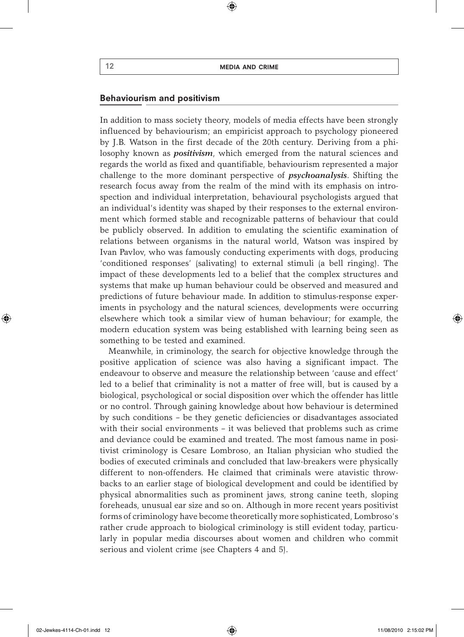$\textcircled{\scriptsize{*}}$ 

#### Behaviourism and positivism

In addition to mass society theory, models of media effects have been strongly influenced by behaviourism; an empiricist approach to psychology pioneered by J.B. Watson in the first decade of the 20th century. Deriving from a philosophy known as *positivism*, which emerged from the natural sciences and regards the world as fixed and quantifiable, behaviourism represented a major challenge to the more dominant perspective of *psychoanalysis*. Shifting the research focus away from the realm of the mind with its emphasis on introspection and individual interpretation, behavioural psychologists argued that an individual's identity was shaped by their responses to the external environment which formed stable and recognizable patterns of behaviour that could be publicly observed. In addition to emulating the scientific examination of relations between organisms in the natural world, Watson was inspired by Ivan Pavlov, who was famously conducting experiments with dogs, producing 'conditioned responses' (salivating) to external stimuli (a bell ringing). The impact of these developments led to a belief that the complex structures and systems that make up human behaviour could be observed and measured and predictions of future behaviour made. In addition to stimulus-response experiments in psychology and the natural sciences, developments were occurring elsewhere which took a similar view of human behaviour; for example, the modern education system was being established with learning being seen as something to be tested and examined.

Meanwhile, in criminology, the search for objective knowledge through the positive application of science was also having a significant impact. The endeavour to observe and measure the relationship between 'cause and effect' led to a belief that criminality is not a matter of free will, but is caused by a biological, psychological or social disposition over which the offender has little or no control. Through gaining knowledge about how behaviour is determined by such conditions – be they genetic deficiencies or disadvantages associated with their social environments – it was believed that problems such as crime and deviance could be examined and treated. The most famous name in positivist criminology is Cesare Lombroso, an Italian physician who studied the bodies of executed criminals and concluded that law-breakers were physically different to non-offenders. He claimed that criminals were atavistic throwbacks to an earlier stage of biological development and could be identified by physical abnormalities such as prominent jaws, strong canine teeth, sloping foreheads, unusual ear size and so on. Although in more recent years positivist forms of criminology have become theoretically more sophisticated, Lombroso's rather crude approach to biological criminology is still evident today, particularly in popular media discourses about women and children who commit serious and violent crime (see Chapters 4 and 5).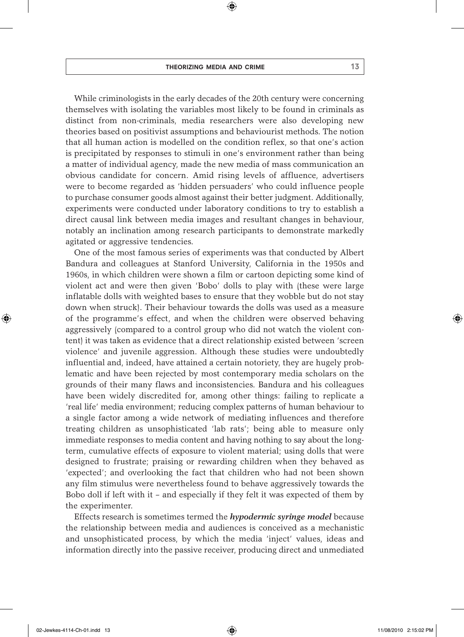# THEORIZING MEDIA AND CRIME **13**

⊕

While criminologists in the early decades of the 20th century were concerning themselves with isolating the variables most likely to be found in criminals as distinct from non-criminals, media researchers were also developing new theories based on positivist assumptions and behaviourist methods. The notion that all human action is modelled on the condition reflex, so that one's action is precipitated by responses to stimuli in one's environment rather than being a matter of individual agency, made the new media of mass communication an obvious candidate for concern. Amid rising levels of affluence, advertisers were to become regarded as 'hidden persuaders' who could influence people to purchase consumer goods almost against their better judgment. Additionally, experiments were conducted under laboratory conditions to try to establish a direct causal link between media images and resultant changes in behaviour, notably an inclination among research participants to demonstrate markedly agitated or aggressive tendencies.

One of the most famous series of experiments was that conducted by Albert Bandura and colleagues at Stanford University, California in the 1950s and 1960s, in which children were shown a film or cartoon depicting some kind of violent act and were then given 'Bobo' dolls to play with (these were large inflatable dolls with weighted bases to ensure that they wobble but do not stay down when struck). Their behaviour towards the dolls was used as a measure of the programme's effect, and when the children were observed behaving aggressively (compared to a control group who did not watch the violent content) it was taken as evidence that a direct relationship existed between 'screen violence' and juvenile aggression. Although these studies were undoubtedly influential and, indeed, have attained a certain notoriety, they are hugely problematic and have been rejected by most contemporary media scholars on the grounds of their many flaws and inconsistencies. Bandura and his colleagues have been widely discredited for, among other things: failing to replicate a 'real life' media environment; reducing complex patterns of human behaviour to a single factor among a wide network of mediating influences and therefore treating children as unsophisticated 'lab rats'; being able to measure only immediate responses to media content and having nothing to say about the longterm, cumulative effects of exposure to violent material; using dolls that were designed to frustrate; praising or rewarding children when they behaved as 'expected'; and overlooking the fact that children who had not been shown any film stimulus were nevertheless found to behave aggressively towards the Bobo doll if left with it – and especially if they felt it was expected of them by the experimenter.

Effects research is sometimes termed the *hypodermic syringe model* because the relationship between media and audiences is conceived as a mechanistic and unsophisticated process, by which the media 'inject' values, ideas and information directly into the passive receiver, producing direct and unmediated

♠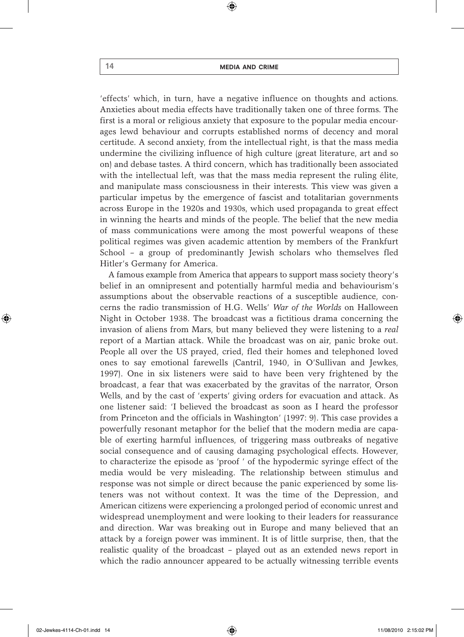$\textcircled{\scriptsize{*}}$ 

'effects' which, in turn, have a negative influence on thoughts and actions. Anxieties about media effects have traditionally taken one of three forms. The first is a moral or religious anxiety that exposure to the popular media encourages lewd behaviour and corrupts established norms of decency and moral certitude. A second anxiety, from the intellectual right, is that the mass media undermine the civilizing influence of high culture (great literature, art and so on) and debase tastes. A third concern, which has traditionally been associated with the intellectual left, was that the mass media represent the ruling élite, and manipulate mass consciousness in their interests. This view was given a particular impetus by the emergence of fascist and totalitarian governments across Europe in the 1920s and 1930s, which used propaganda to great effect in winning the hearts and minds of the people. The belief that the new media of mass communications were among the most powerful weapons of these political regimes was given academic attention by members of the Frankfurt School – a group of predominantly Jewish scholars who themselves fled Hitler's Germany for America.

A famous example from America that appears to support mass society theory's belief in an omnipresent and potentially harmful media and behaviourism's assumptions about the observable reactions of a susceptible audience, concerns the radio transmission of H.G. Wells' *War of the Worlds* on Halloween Night in October 1938. The broadcast was a fictitious drama concerning the invasion of aliens from Mars, but many believed they were listening to a *real* report of a Martian attack. While the broadcast was on air, panic broke out. People all over the US prayed, cried, fled their homes and telephoned loved ones to say emotional farewells (Cantril, 1940, in O'Sullivan and Jewkes, 1997). One in six listeners were said to have been very frightened by the broadcast, a fear that was exacerbated by the gravitas of the narrator, Orson Wells, and by the cast of 'experts' giving orders for evacuation and attack. As one listener said: 'I believed the broadcast as soon as I heard the professor from Princeton and the officials in Washington' (1997: 9). This case provides a powerfully resonant metaphor for the belief that the modern media are capable of exerting harmful influences, of triggering mass outbreaks of negative social consequence and of causing damaging psychological effects. However, to characterize the episode as 'proof ' of the hypodermic syringe effect of the media would be very misleading. The relationship between stimulus and response was not simple or direct because the panic experienced by some listeners was not without context. It was the time of the Depression, and American citizens were experiencing a prolonged period of economic unrest and widespread unemployment and were looking to their leaders for reassurance and direction. War was breaking out in Europe and many believed that an attack by a foreign power was imminent. It is of little surprise, then, that the realistic quality of the broadcast – played out as an extended news report in which the radio announcer appeared to be actually witnessing terrible events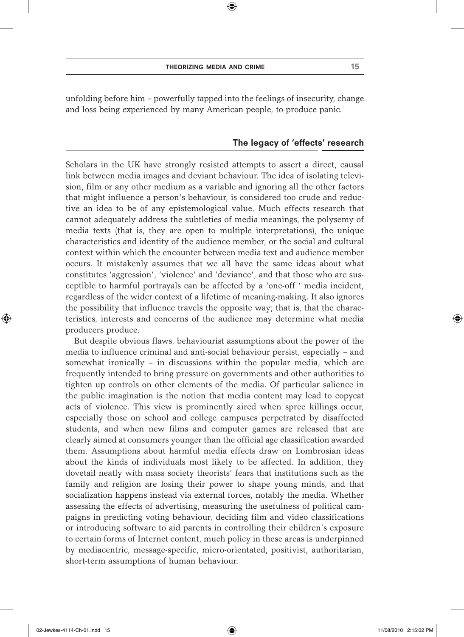⊕

unfolding before him – powerfully tapped into the feelings of insecurity, change and loss being experienced by many American people, to produce panic.

#### The legacy of 'effects' research

Scholars in the UK have strongly resisted attempts to assert a direct, causal link between media images and deviant behaviour. The idea of isolating television, film or any other medium as a variable and ignoring all the other factors that might influence a person's behaviour, is considered too crude and reductive an idea to be of any epistemological value. Much effects research that cannot adequately address the subtleties of media meanings, the polysemy of media texts (that is, they are open to multiple interpretations), the unique characteristics and identity of the audience member, or the social and cultural context within which the encounter between media text and audience member occurs. It mistakenly assumes that we all have the same ideas about what constitutes 'aggression', 'violence' and 'deviance', and that those who are susceptible to harmful portrayals can be affected by a 'one-off ' media incident, regardless of the wider context of a lifetime of meaning-making. It also ignores the possibility that influence travels the opposite way; that is, that the characteristics, interests and concerns of the audience may determine what media producers produce.

But despite obvious flaws, behaviourist assumptions about the power of the media to influence criminal and anti-social behaviour persist, especially – and somewhat ironically – in discussions within the popular media, which are frequently intended to bring pressure on governments and other authorities to tighten up controls on other elements of the media. Of particular salience in the public imagination is the notion that media content may lead to copycat acts of violence. This view is prominently aired when spree killings occur, especially those on school and college campuses perpetrated by disaffected students, and when new films and computer games are released that are clearly aimed at consumers younger than the official age classification awarded them. Assumptions about harmful media effects draw on Lombrosian ideas about the kinds of individuals most likely to be affected. In addition, they dovetail neatly with mass society theorists' fears that institutions such as the family and religion are losing their power to shape young minds, and that socialization happens instead via external forces, notably the media. Whether assessing the effects of advertising, measuring the usefulness of political campaigns in predicting voting behaviour, deciding film and video classifications or introducing software to aid parents in controlling their children's exposure to certain forms of Internet content, much policy in these areas is underpinned by mediacentric, message-specific, micro-orientated, positivist, authoritarian, short-term assumptions of human behaviour.

♠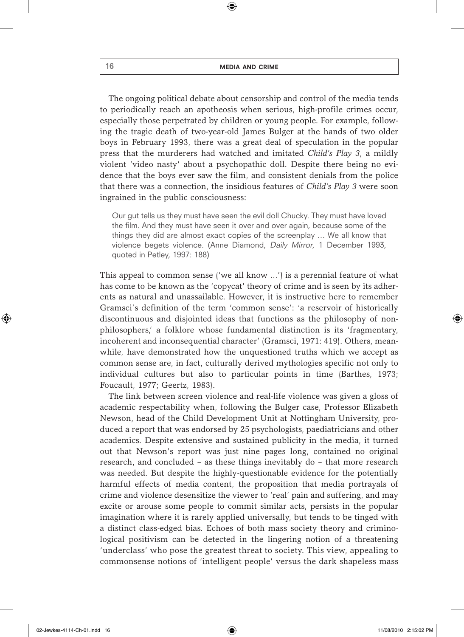# 16 media and crime and media and crime and media and crime and media and crime and media and crime and media and crime and media and crime and media and crime and media and crime and media and crime and crime and crime and

 $\textcircled{\scriptsize{*}}$ 

The ongoing political debate about censorship and control of the media tends to periodically reach an apotheosis when serious, high-profile crimes occur, especially those perpetrated by children or young people. For example, following the tragic death of two-year-old James Bulger at the hands of two older boys in February 1993, there was a great deal of speculation in the popular press that the murderers had watched and imitated *Child's Play 3*, a mildly violent 'video nasty' about a psychopathic doll. Despite there being no evidence that the boys ever saw the film, and consistent denials from the police that there was a connection, the insidious features of *Child's Play 3* were soon ingrained in the public consciousness:

Our gut tells us they must have seen the evil doll Chucky. They must have loved the film. And they must have seen it over and over again, because some of the things they did are almost exact copies of the screenplay … We all know that violence begets violence. (Anne Diamond, Daily Mirror, 1 December 1993, quoted in Petley, 1997: 188)

This appeal to common sense ('we all know …') is a perennial feature of what has come to be known as the 'copycat' theory of crime and is seen by its adherents as natural and unassailable. However, it is instructive here to remember Gramsci's definition of the term 'common sense': 'a reservoir of historically discontinuous and disjointed ideas that functions as the philosophy of nonphilosophers,' a folklore whose fundamental distinction is its 'fragmentary, incoherent and inconsequential character' (Gramsci, 1971: 419). Others, meanwhile, have demonstrated how the unquestioned truths which we accept as common sense are, in fact, culturally derived mythologies specific not only to individual cultures but also to particular points in time (Barthes, 1973; Foucault, 1977; Geertz, 1983).

The link between screen violence and real-life violence was given a gloss of academic respectability when, following the Bulger case, Professor Elizabeth Newson, head of the Child Development Unit at Nottingham University, produced a report that was endorsed by 25 psychologists, paediatricians and other academics. Despite extensive and sustained publicity in the media, it turned out that Newson's report was just nine pages long, contained no original research, and concluded – as these things inevitably do – that more research was needed. But despite the highly-questionable evidence for the potentially harmful effects of media content, the proposition that media portrayals of crime and violence desensitize the viewer to 'real' pain and suffering, and may excite or arouse some people to commit similar acts, persists in the popular imagination where it is rarely applied universally, but tends to be tinged with a distinct class-edged bias. Echoes of both mass society theory and criminological positivism can be detected in the lingering notion of a threatening 'underclass' who pose the greatest threat to society. This view, appealing to commonsense notions of 'intelligent people' versus the dark shapeless mass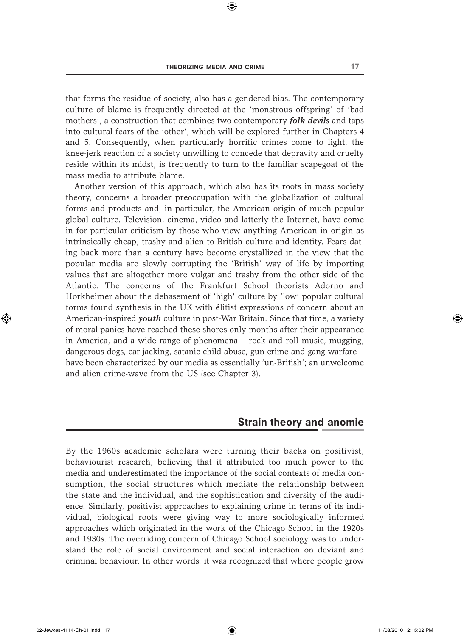⊕

that forms the residue of society, also has a gendered bias. The contemporary culture of blame is frequently directed at the 'monstrous offspring' of 'bad mothers', a construction that combines two contemporary *folk devils* and taps into cultural fears of the 'other', which will be explored further in Chapters 4 and 5. Consequently, when particularly horrific crimes come to light, the knee-jerk reaction of a society unwilling to concede that depravity and cruelty reside within its midst, is frequently to turn to the familiar scapegoat of the mass media to attribute blame.

Another version of this approach, which also has its roots in mass society theory, concerns a broader preoccupation with the globalization of cultural forms and products and, in particular, the American origin of much popular global culture. Television, cinema, video and latterly the Internet, have come in for particular criticism by those who view anything American in origin as intrinsically cheap, trashy and alien to British culture and identity. Fears dating back more than a century have become crystallized in the view that the popular media are slowly corrupting the 'British' way of life by importing values that are altogether more vulgar and trashy from the other side of the Atlantic. The concerns of the Frankfurt School theorists Adorno and Horkheimer about the debasement of 'high' culture by 'low' popular cultural forms found synthesis in the UK with élitist expressions of concern about an American-inspired *youth* culture in post-War Britain. Since that time, a variety of moral panics have reached these shores only months after their appearance in America, and a wide range of phenomena – rock and roll music, mugging, dangerous dogs, car-jacking, satanic child abuse, gun crime and gang warfare – have been characterized by our media as essentially 'un-British'; an unwelcome and alien crime-wave from the US (see Chapter 3).

# Strain theory and anomie

By the 1960s academic scholars were turning their backs on positivist, behaviourist research, believing that it attributed too much power to the media and underestimated the importance of the social contexts of media consumption, the social structures which mediate the relationship between the state and the individual, and the sophistication and diversity of the audience. Similarly, positivist approaches to explaining crime in terms of its individual, biological roots were giving way to more sociologically informed approaches which originated in the work of the Chicago School in the 1920s and 1930s. The overriding concern of Chicago School sociology was to understand the role of social environment and social interaction on deviant and criminal behaviour. In other words, it was recognized that where people grow

♠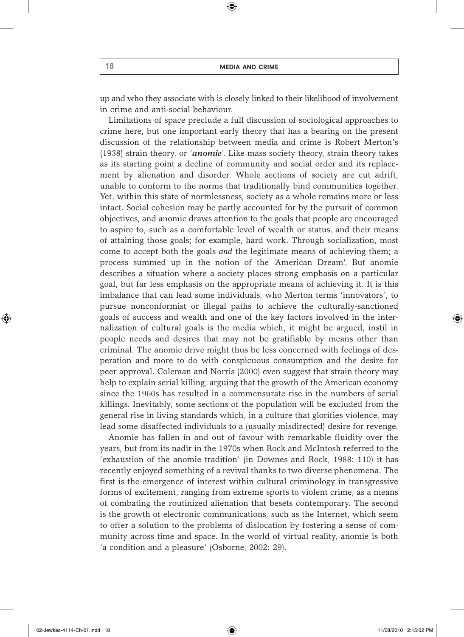⊕

up and who they associate with is closely linked to their likelihood of involvement in crime and anti-social behaviour.

Limitations of space preclude a full discussion of sociological approaches to crime here, but one important early theory that has a bearing on the present discussion of the relationship between media and crime is Robert Merton's (1938) strain theory, or '*anomie*'. Like mass society theory, strain theory takes as its starting point a decline of community and social order and its replacement by alienation and disorder. Whole sections of society are cut adrift, unable to conform to the norms that traditionally bind communities together. Yet, within this state of normlessness, society as a whole remains more or less intact. Social cohesion may be partly accounted for by the pursuit of common objectives, and anomie draws attention to the goals that people are encouraged to aspire to, such as a comfortable level of wealth or status, and their means of attaining those goals; for example, hard work. Through socialization, most come to accept both the goals *and* the legitimate means of achieving them; a process summed up in the notion of the 'American Dream'. But anomie describes a situation where a society places strong emphasis on a particular goal, but far less emphasis on the appropriate means of achieving it. It is this imbalance that can lead some individuals, who Merton terms 'innovators', to pursue nonconformist or illegal paths to achieve the culturally-sanctioned goals of success and wealth and one of the key factors involved in the internalization of cultural goals is the media which, it might be argued, instil in people needs and desires that may not be gratifiable by means other than criminal. The anomic drive might thus be less concerned with feelings of desperation and more to do with conspicuous consumption and the desire for peer approval. Coleman and Norris (2000) even suggest that strain theory may help to explain serial killing, arguing that the growth of the American economy since the 1960s has resulted in a commensurate rise in the numbers of serial killings. Inevitably, some sections of the population will be excluded from the general rise in living standards which, in a culture that glorifies violence, may lead some disaffected individuals to a (usually misdirected) desire for revenge.

Anomie has fallen in and out of favour with remarkable fluidity over the years, but from its nadir in the 1970s when Rock and McIntosh referred to the 'exhaustion of the anomie tradition' (in Downes and Rock, 1988: 110) it has recently enjoyed something of a revival thanks to two diverse phenomena. The first is the emergence of interest within cultural criminology in transgressive forms of excitement, ranging from extreme sports to violent crime, as a means of combating the routinized alienation that besets contemporary. The second is the growth of electronic communications, such as the Internet, which seem to offer a solution to the problems of dislocation by fostering a sense of community across time and space. In the world of virtual reality, anomie is both 'a condition and a pleasure' (Osborne, 2002: 29).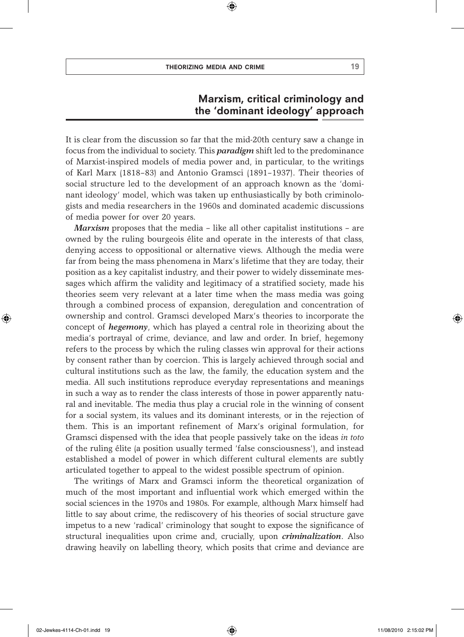⊕

# Marxism, critical criminology and the 'dominant ideology' approach

It is clear from the discussion so far that the mid-20th century saw a change in focus from the individual to society. This *paradigm* shift led to the predominance of Marxist-inspired models of media power and, in particular, to the writings of Karl Marx (1818–83) and Antonio Gramsci (1891–1937). Their theories of social structure led to the development of an approach known as the 'dominant ideology' model, which was taken up enthusiastically by both criminologists and media researchers in the 1960s and dominated academic discussions of media power for over 20 years.

*Marxism* proposes that the media – like all other capitalist institutions – are owned by the ruling bourgeois élite and operate in the interests of that class, denying access to oppositional or alternative views. Although the media were far from being the mass phenomena in Marx's lifetime that they are today, their position as a key capitalist industry, and their power to widely disseminate messages which affirm the validity and legitimacy of a stratified society, made his theories seem very relevant at a later time when the mass media was going through a combined process of expansion, deregulation and concentration of ownership and control. Gramsci developed Marx's theories to incorporate the concept of *hegemony*, which has played a central role in theorizing about the media's portrayal of crime, deviance, and law and order. In brief, hegemony refers to the process by which the ruling classes win approval for their actions by consent rather than by coercion. This is largely achieved through social and cultural institutions such as the law, the family, the education system and the media. All such institutions reproduce everyday representations and meanings in such a way as to render the class interests of those in power apparently natural and inevitable. The media thus play a crucial role in the winning of consent for a social system, its values and its dominant interests, or in the rejection of them. This is an important refinement of Marx's original formulation, for Gramsci dispensed with the idea that people passively take on the ideas *in toto*  of the ruling élite (a position usually termed 'false consciousness'), and instead established a model of power in which different cultural elements are subtly articulated together to appeal to the widest possible spectrum of opinion.

The writings of Marx and Gramsci inform the theoretical organization of much of the most important and influential work which emerged within the social sciences in the 1970s and 1980s. For example, although Marx himself had little to say about crime, the rediscovery of his theories of social structure gave impetus to a new 'radical' criminology that sought to expose the significance of structural inequalities upon crime and, crucially, upon *criminalization*. Also drawing heavily on labelling theory, which posits that crime and deviance are

♠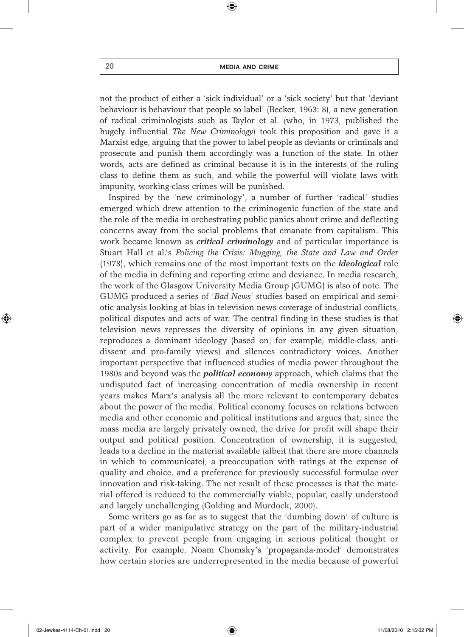$\textcircled{\scriptsize{*}}$ 

not the product of either a 'sick individual' or a 'sick society' but that 'deviant behaviour is behaviour that people so label' (Becker, 1963: 8), a new generation of radical criminologists such as Taylor et al. (who, in 1973, published the hugely influential *The New Criminology*) took this proposition and gave it a Marxist edge, arguing that the power to label people as deviants or criminals and prosecute and punish them accordingly was a function of the state. In other words, acts are defined as criminal because it is in the interests of the ruling class to define them as such, and while the powerful will violate laws with impunity, working-class crimes will be punished.

Inspired by the 'new criminology', a number of further 'radical' studies emerged which drew attention to the criminogenic function of the state and the role of the media in orchestrating public panics about crime and deflecting concerns away from the social problems that emanate from capitalism. This work became known as *critical criminology* and of particular importance is Stuart Hall et al.'s *Policing the Crisis: Mugging, the State and Law and Order* (1978), which remains one of the most important texts on the *ideological* role of the media in defining and reporting crime and deviance. In media research, the work of the Glasgow University Media Group (GUMG) is also of note. The GUMG produced a series of '*Bad News*' studies based on empirical and semiotic analysis looking at bias in television news coverage of industrial conflicts, political disputes and acts of war. The central finding in these studies is that television news represses the diversity of opinions in any given situation, reproduces a dominant ideology (based on, for example, middle-class, antidissent and pro-family views) and silences contradictory voices. Another important perspective that influenced studies of media power throughout the 1980s and beyond was the *political economy* approach, which claims that the undisputed fact of increasing concentration of media ownership in recent years makes Marx's analysis all the more relevant to contemporary debates about the power of the media. Political economy focuses on relations between media and other economic and political institutions and argues that, since the mass media are largely privately owned, the drive for profit will shape their output and political position. Concentration of ownership, it is suggested, leads to a decline in the material available (albeit that there are more channels in which to communicate), a preoccupation with ratings at the expense of quality and choice, and a preference for previously successful formulae over innovation and risk-taking. The net result of these processes is that the material offered is reduced to the commercially viable, popular, easily understood and largely unchallenging (Golding and Murdock, 2000).

Some writers go as far as to suggest that the 'dumbing down' of culture is part of a wider manipulative strategy on the part of the military-industrial complex to prevent people from engaging in serious political thought or activity. For example, Noam Chomsky's 'propaganda-model' demonstrates how certain stories are underrepresented in the media because of powerful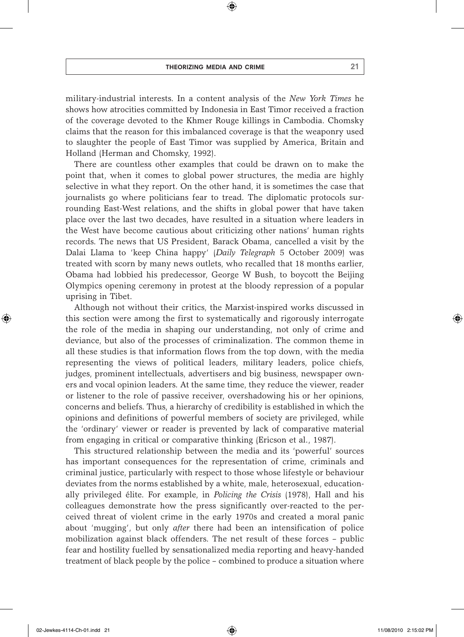⊕

military-industrial interests. In a content analysis of the *New York Times* he shows how atrocities committed by Indonesia in East Timor received a fraction of the coverage devoted to the Khmer Rouge killings in Cambodia. Chomsky claims that the reason for this imbalanced coverage is that the weaponry used to slaughter the people of East Timor was supplied by America, Britain and Holland (Herman and Chomsky, 1992).

There are countless other examples that could be drawn on to make the point that, when it comes to global power structures, the media are highly selective in what they report. On the other hand, it is sometimes the case that journalists go where politicians fear to tread. The diplomatic protocols surrounding East-West relations, and the shifts in global power that have taken place over the last two decades, have resulted in a situation where leaders in the West have become cautious about criticizing other nations' human rights records. The news that US President, Barack Obama, cancelled a visit by the Dalai Llama to 'keep China happy' (*Daily Telegraph* 5 October 2009) was treated with scorn by many news outlets, who recalled that 18 months earlier, Obama had lobbied his predecessor, George W Bush, to boycott the Beijing Olympics opening ceremony in protest at the bloody repression of a popular uprising in Tibet.

Although not without their critics, the Marxist-inspired works discussed in this section were among the first to systematically and rigorously interrogate the role of the media in shaping our understanding, not only of crime and deviance, but also of the processes of criminalization. The common theme in all these studies is that information flows from the top down, with the media representing the views of political leaders, military leaders, police chiefs, judges, prominent intellectuals, advertisers and big business, newspaper owners and vocal opinion leaders. At the same time, they reduce the viewer, reader or listener to the role of passive receiver, overshadowing his or her opinions, concerns and beliefs. Thus, a hierarchy of credibility is established in which the opinions and definitions of powerful members of society are privileged, while the 'ordinary' viewer or reader is prevented by lack of comparative material from engaging in critical or comparative thinking (Ericson et al., 1987).

This structured relationship between the media and its 'powerful' sources has important consequences for the representation of crime, criminals and criminal justice, particularly with respect to those whose lifestyle or behaviour deviates from the norms established by a white, male, heterosexual, educationally privileged élite. For example, in *Policing the Crisis* (1978), Hall and his colleagues demonstrate how the press significantly over-reacted to the perceived threat of violent crime in the early 1970s and created a moral panic about 'mugging', but only *after* there had been an intensification of police mobilization against black offenders. The net result of these forces – public fear and hostility fuelled by sensationalized media reporting and heavy-handed treatment of black people by the police – combined to produce a situation where

⊕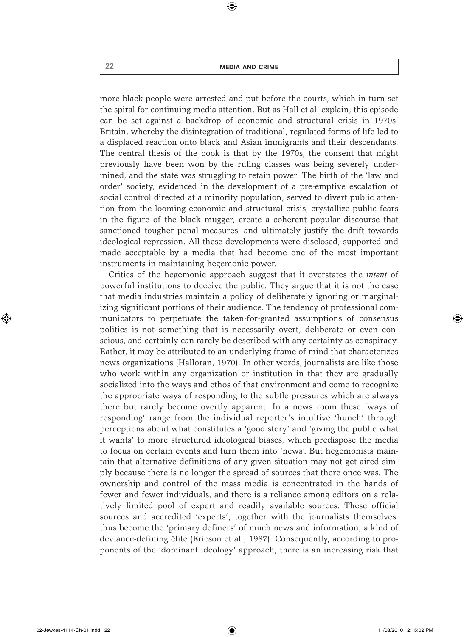$\textcircled{\scriptsize{*}}$ 

more black people were arrested and put before the courts, which in turn set the spiral for continuing media attention. But as Hall et al. explain, this episode can be set against a backdrop of economic and structural crisis in 1970s' Britain, whereby the disintegration of traditional, regulated forms of life led to a displaced reaction onto black and Asian immigrants and their descendants. The central thesis of the book is that by the 1970s, the consent that might previously have been won by the ruling classes was being severely undermined, and the state was struggling to retain power. The birth of the 'law and order' society, evidenced in the development of a pre-emptive escalation of social control directed at a minority population, served to divert public attention from the looming economic and structural crisis, crystallize public fears in the figure of the black mugger, create a coherent popular discourse that sanctioned tougher penal measures, and ultimately justify the drift towards ideological repression. All these developments were disclosed, supported and made acceptable by a media that had become one of the most important instruments in maintaining hegemonic power.

Critics of the hegemonic approach suggest that it overstates the *intent* of powerful institutions to deceive the public. They argue that it is not the case that media industries maintain a policy of deliberately ignoring or marginalizing significant portions of their audience. The tendency of professional communicators to perpetuate the taken-for-granted assumptions of consensus politics is not something that is necessarily overt, deliberate or even conscious, and certainly can rarely be described with any certainty as conspiracy. Rather, it may be attributed to an underlying frame of mind that characterizes news organizations (Halloran, 1970). In other words, journalists are like those who work within any organization or institution in that they are gradually socialized into the ways and ethos of that environment and come to recognize the appropriate ways of responding to the subtle pressures which are always there but rarely become overtly apparent. In a news room these 'ways of responding' range from the individual reporter's intuitive 'hunch' through perceptions about what constitutes a 'good story' and 'giving the public what it wants' to more structured ideological biases, which predispose the media to focus on certain events and turn them into 'news'. But hegemonists maintain that alternative definitions of any given situation may not get aired simply because there is no longer the spread of sources that there once was. The ownership and control of the mass media is concentrated in the hands of fewer and fewer individuals, and there is a reliance among editors on a relatively limited pool of expert and readily available sources. These official sources and accredited 'experts', together with the journalists themselves, thus become the 'primary definers' of much news and information; a kind of deviance-defining élite (Ericson et al., 1987). Consequently, according to proponents of the 'dominant ideology' approach, there is an increasing risk that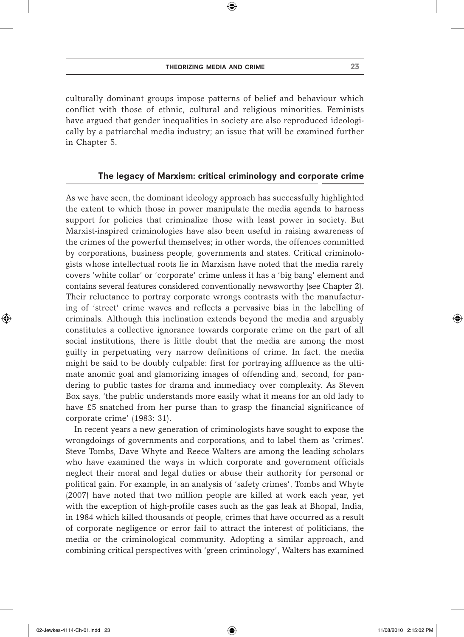⊕

culturally dominant groups impose patterns of belief and behaviour which conflict with those of ethnic, cultural and religious minorities. Feminists have argued that gender inequalities in society are also reproduced ideologically by a patriarchal media industry; an issue that will be examined further in Chapter 5.

#### The legacy of Marxism: critical criminology and corporate crime

As we have seen, the dominant ideology approach has successfully highlighted the extent to which those in power manipulate the media agenda to harness support for policies that criminalize those with least power in society. But Marxist-inspired criminologies have also been useful in raising awareness of the crimes of the powerful themselves; in other words, the offences committed by corporations, business people, governments and states. Critical criminologists whose intellectual roots lie in Marxism have noted that the media rarely covers 'white collar' or 'corporate' crime unless it has a 'big bang' element and contains several features considered conventionally newsworthy (see Chapter 2). Their reluctance to portray corporate wrongs contrasts with the manufacturing of 'street' crime waves and reflects a pervasive bias in the labelling of criminals. Although this inclination extends beyond the media and arguably constitutes a collective ignorance towards corporate crime on the part of all social institutions, there is little doubt that the media are among the most guilty in perpetuating very narrow definitions of crime. In fact, the media might be said to be doubly culpable: first for portraying affluence as the ultimate anomic goal and glamorizing images of offending and, second, for pandering to public tastes for drama and immediacy over complexity. As Steven Box says, 'the public understands more easily what it means for an old lady to have £5 snatched from her purse than to grasp the financial significance of corporate crime' (1983: 31).

In recent years a new generation of criminologists have sought to expose the wrongdoings of governments and corporations, and to label them as 'crimes'. Steve Tombs, Dave Whyte and Reece Walters are among the leading scholars who have examined the ways in which corporate and government officials neglect their moral and legal duties or abuse their authority for personal or political gain. For example, in an analysis of 'safety crimes', Tombs and Whyte (2007) have noted that two million people are killed at work each year, yet with the exception of high-profile cases such as the gas leak at Bhopal, India, in 1984 which killed thousands of people, crimes that have occurred as a result of corporate negligence or error fail to attract the interest of politicians, the media or the criminological community. Adopting a similar approach, and combining critical perspectives with 'green criminology', Walters has examined

♠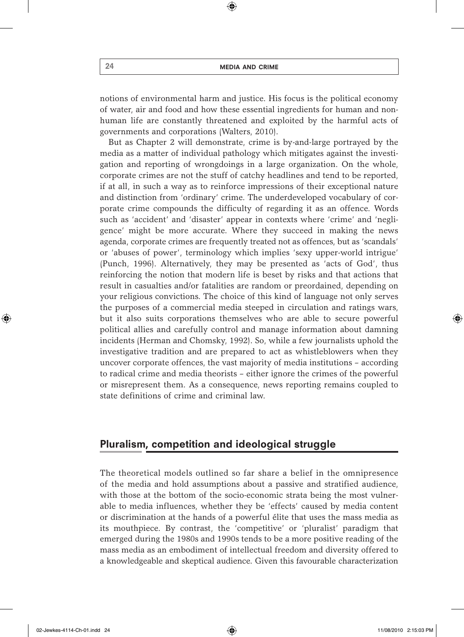$\textcircled{\scriptsize{*}}$ 

notions of environmental harm and justice. His focus is the political economy of water, air and food and how these essential ingredients for human and nonhuman life are constantly threatened and exploited by the harmful acts of governments and corporations (Walters, 2010).

But as Chapter 2 will demonstrate, crime is by-and-large portrayed by the media as a matter of individual pathology which mitigates against the investigation and reporting of wrongdoings in a large organization. On the whole, corporate crimes are not the stuff of catchy headlines and tend to be reported, if at all, in such a way as to reinforce impressions of their exceptional nature and distinction from 'ordinary' crime. The underdeveloped vocabulary of corporate crime compounds the difficulty of regarding it as an offence. Words such as 'accident' and 'disaster' appear in contexts where 'crime' and 'negligence' might be more accurate. Where they succeed in making the news agenda, corporate crimes are frequently treated not as offences, but as 'scandals' or 'abuses of power', terminology which implies 'sexy upper-world intrigue' (Punch, 1996). Alternatively, they may be presented as 'acts of God', thus reinforcing the notion that modern life is beset by risks and that actions that result in casualties and/or fatalities are random or preordained, depending on your religious convictions. The choice of this kind of language not only serves the purposes of a commercial media steeped in circulation and ratings wars, but it also suits corporations themselves who are able to secure powerful political allies and carefully control and manage information about damning incidents (Herman and Chomsky, 1992). So, while a few journalists uphold the investigative tradition and are prepared to act as whistleblowers when they uncover corporate offences, the vast majority of media institutions – according to radical crime and media theorists – either ignore the crimes of the powerful or misrepresent them. As a consequence, news reporting remains coupled to state definitions of crime and criminal law.

# Pluralism, competition and ideological struggle

The theoretical models outlined so far share a belief in the omnipresence of the media and hold assumptions about a passive and stratified audience, with those at the bottom of the socio-economic strata being the most vulnerable to media influences, whether they be 'effects' caused by media content or discrimination at the hands of a powerful élite that uses the mass media as its mouthpiece. By contrast, the 'competitive' or 'pluralist' paradigm that emerged during the 1980s and 1990s tends to be a more positive reading of the mass media as an embodiment of intellectual freedom and diversity offered to a knowledgeable and skeptical audience. Given this favourable characterization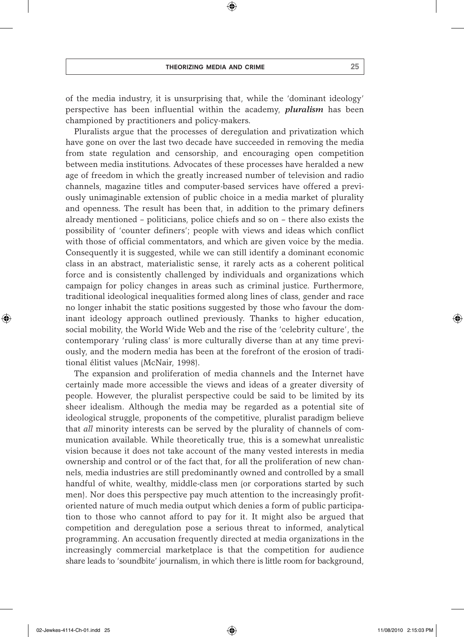⊕

of the media industry, it is unsurprising that, while the 'dominant ideology' perspective has been influential within the academy, *pluralism* has been championed by practitioners and policy-makers.

Pluralists argue that the processes of deregulation and privatization which have gone on over the last two decade have succeeded in removing the media from state regulation and censorship, and encouraging open competition between media institutions. Advocates of these processes have heralded a new age of freedom in which the greatly increased number of television and radio channels, magazine titles and computer-based services have offered a previously unimaginable extension of public choice in a media market of plurality and openness. The result has been that, in addition to the primary definers already mentioned – politicians, police chiefs and so on – there also exists the possibility of 'counter definers'; people with views and ideas which conflict with those of official commentators, and which are given voice by the media. Consequently it is suggested, while we can still identify a dominant economic class in an abstract, materialistic sense, it rarely acts as a coherent political force and is consistently challenged by individuals and organizations which campaign for policy changes in areas such as criminal justice. Furthermore, traditional ideological inequalities formed along lines of class, gender and race no longer inhabit the static positions suggested by those who favour the dominant ideology approach outlined previously. Thanks to higher education, social mobility, the World Wide Web and the rise of the 'celebrity culture', the contemporary 'ruling class' is more culturally diverse than at any time previously, and the modern media has been at the forefront of the erosion of traditional élitist values (McNair, 1998).

The expansion and proliferation of media channels and the Internet have certainly made more accessible the views and ideas of a greater diversity of people. However, the pluralist perspective could be said to be limited by its sheer idealism. Although the media may be regarded as a potential site of ideological struggle, proponents of the competitive, pluralist paradigm believe that *all* minority interests can be served by the plurality of channels of communication available. While theoretically true, this is a somewhat unrealistic vision because it does not take account of the many vested interests in media ownership and control or of the fact that, for all the proliferation of new channels, media industries are still predominantly owned and controlled by a small handful of white, wealthy, middle-class men (or corporations started by such men). Nor does this perspective pay much attention to the increasingly profitoriented nature of much media output which denies a form of public participation to those who cannot afford to pay for it. It might also be argued that competition and deregulation pose a serious threat to informed, analytical programming. An accusation frequently directed at media organizations in the increasingly commercial marketplace is that the competition for audience share leads to 'soundbite' journalism, in which there is little room for background,

♠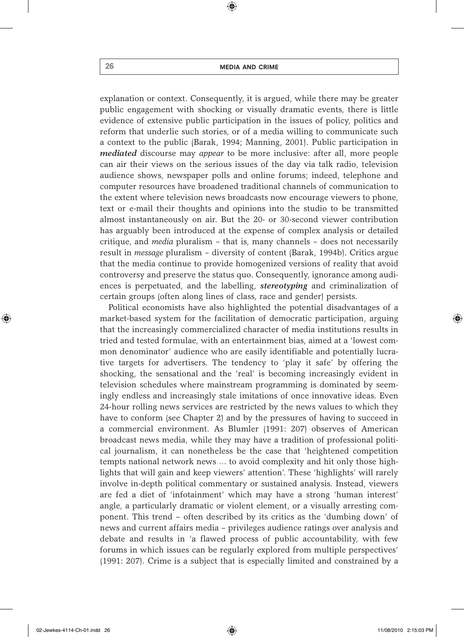$\textcircled{\scriptsize{*}}$ 

explanation or context. Consequently, it is argued, while there may be greater public engagement with shocking or visually dramatic events, there is little evidence of extensive public participation in the issues of policy, politics and reform that underlie such stories, or of a media willing to communicate such a context to the public (Barak, 1994; Manning, 2001). Public participation in *mediated* discourse may *appear* to be more inclusive: after all, more people can air their views on the serious issues of the day via talk radio, television audience shows, newspaper polls and online forums; indeed, telephone and computer resources have broadened traditional channels of communication to the extent where television news broadcasts now encourage viewers to phone, text or e-mail their thoughts and opinions into the studio to be transmitted almost instantaneously on air. But the 20- or 30-second viewer contribution has arguably been introduced at the expense of complex analysis or detailed critique, and *media* pluralism – that is, many channels – does not necessarily result in *message* pluralism – diversity of content (Barak, 1994b). Critics argue that the media continue to provide homogenized versions of reality that avoid controversy and preserve the status quo. Consequently, ignorance among audiences is perpetuated, and the labelling, *stereotyping* and criminalization of certain groups (often along lines of class, race and gender) persists.

Political economists have also highlighted the potential disadvantages of a market-based system for the facilitation of democratic participation, arguing that the increasingly commercialized character of media institutions results in tried and tested formulae, with an entertainment bias, aimed at a 'lowest common denominator' audience who are easily identifiable and potentially lucrative targets for advertisers. The tendency to 'play it safe' by offering the shocking, the sensational and the 'real' is becoming increasingly evident in television schedules where mainstream programming is dominated by seemingly endless and increasingly stale imitations of once innovative ideas. Even 24-hour rolling news services are restricted by the news values to which they have to conform (see Chapter 2) and by the pressures of having to succeed in a commercial environment. As Blumler (1991: 207) observes of American broadcast news media, while they may have a tradition of professional political journalism, it can nonetheless be the case that 'heightened competition tempts national network news … to avoid complexity and hit only those highlights that will gain and keep viewers' attention'. These 'highlights' will rarely involve in-depth political commentary or sustained analysis. Instead, viewers are fed a diet of 'infotainment' which may have a strong 'human interest' angle, a particularly dramatic or violent element, or a visually arresting component. This trend – often described by its critics as the 'dumbing down' of news and current affairs media – privileges audience ratings over analysis and debate and results in 'a flawed process of public accountability, with few forums in which issues can be regularly explored from multiple perspectives' (1991: 207). Crime is a subject that is especially limited and constrained by a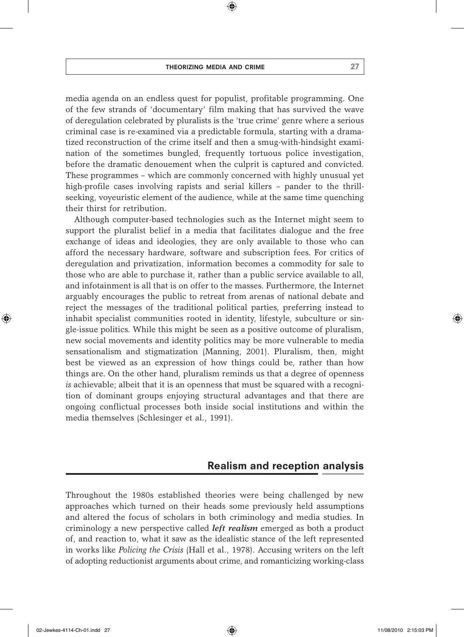⊕

media agenda on an endless quest for populist, profitable programming. One of the few strands of 'documentary' film making that has survived the wave of deregulation celebrated by pluralists is the 'true crime' genre where a serious criminal case is re-examined via a predictable formula, starting with a dramatized reconstruction of the crime itself and then a smug-with-hindsight examination of the sometimes bungled, frequently tortuous police investigation, before the dramatic denouement when the culprit is captured and convicted. These programmes – which are commonly concerned with highly unusual yet high-profile cases involving rapists and serial killers – pander to the thrillseeking, voyeuristic element of the audience, while at the same time quenching their thirst for retribution.

Although computer-based technologies such as the Internet might seem to support the pluralist belief in a media that facilitates dialogue and the free exchange of ideas and ideologies, they are only available to those who can afford the necessary hardware, software and subscription fees. For critics of deregulation and privatization, information becomes a commodity for sale to those who are able to purchase it, rather than a public service available to all, and infotainment is all that is on offer to the masses. Furthermore, the Internet arguably encourages the public to retreat from arenas of national debate and reject the messages of the traditional political parties, preferring instead to inhabit specialist communities rooted in identity, lifestyle, subculture or single-issue politics. While this might be seen as a positive outcome of pluralism, new social movements and identity politics may be more vulnerable to media sensationalism and stigmatization (Manning, 2001). Pluralism, then, might best be viewed as an expression of how things could be, rather than how things are. On the other hand, pluralism reminds us that a degree of openness *is* achievable; albeit that it is an openness that must be squared with a recognition of dominant groups enjoying structural advantages and that there are ongoing conflictual processes both inside social institutions and within the media themselves (Schlesinger et al., 1991).

# Realism and reception analysis

Throughout the 1980s established theories were being challenged by new approaches which turned on their heads some previously held assumptions and altered the focus of scholars in both criminology and media studies. In criminology a new perspective called *left realism* emerged as both a product of, and reaction to, what it saw as the idealistic stance of the left represented in works like *Policing the Crisis* (Hall et al., 1978). Accusing writers on the left of adopting reductionist arguments about crime, and romanticizing working-class

♠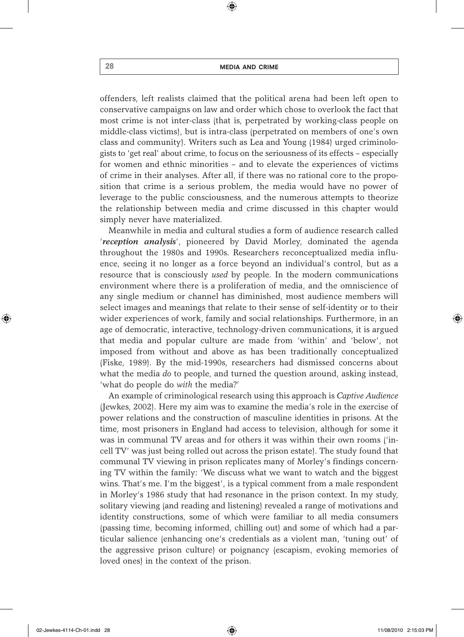$\textcircled{\scriptsize{*}}$ 

offenders, left realists claimed that the political arena had been left open to conservative campaigns on law and order which chose to overlook the fact that most crime is not inter-class (that is, perpetrated by working-class people on middle-class victims), but is intra-class (perpetrated on members of one's own class and community). Writers such as Lea and Young (1984) urged criminologists to 'get real' about crime, to focus on the seriousness of its effects – especially for women and ethnic minorities – and to elevate the experiences of victims of crime in their analyses. After all, if there was no rational core to the proposition that crime is a serious problem, the media would have no power of leverage to the public consciousness, and the numerous attempts to theorize the relationship between media and crime discussed in this chapter would simply never have materialized.

Meanwhile in media and cultural studies a form of audience research called '*reception analysis*', pioneered by David Morley, dominated the agenda throughout the 1980s and 1990s. Researchers reconceptualized media influence, seeing it no longer as a force beyond an individual's control, but as a resource that is consciously *used* by people. In the modern communications environment where there is a proliferation of media, and the omniscience of any single medium or channel has diminished, most audience members will select images and meanings that relate to their sense of self-identity or to their wider experiences of work, family and social relationships. Furthermore, in an age of democratic, interactive, technology-driven communications, it is argued that media and popular culture are made from 'within' and 'below', not imposed from without and above as has been traditionally conceptualized (Fiske, 1989). By the mid-1990s, researchers had dismissed concerns about what the media *do* to people, and turned the question around, asking instead, 'what do people do *with* the media?'

An example of criminological research using this approach is *Captive Audience* (Jewkes, 2002). Here my aim was to examine the media's role in the exercise of power relations and the construction of masculine identities in prisons. At the time, most prisoners in England had access to television, although for some it was in communal TV areas and for others it was within their own rooms ('incell TV' was just being rolled out across the prison estate). The study found that communal TV viewing in prison replicates many of Morley's findings concerning TV within the family: 'We discuss what we want to watch and the biggest wins. That's me. I'm the biggest', is a typical comment from a male respondent in Morley's 1986 study that had resonance in the prison context. In my study, solitary viewing (and reading and listening) revealed a range of motivations and identity constructions, some of which were familiar to all media consumers (passing time, becoming informed, chilling out) and some of which had a particular salience (enhancing one's credentials as a violent man, 'tuning out' of the aggressive prison culture) or poignancy (escapism, evoking memories of loved ones) in the context of the prison.

♠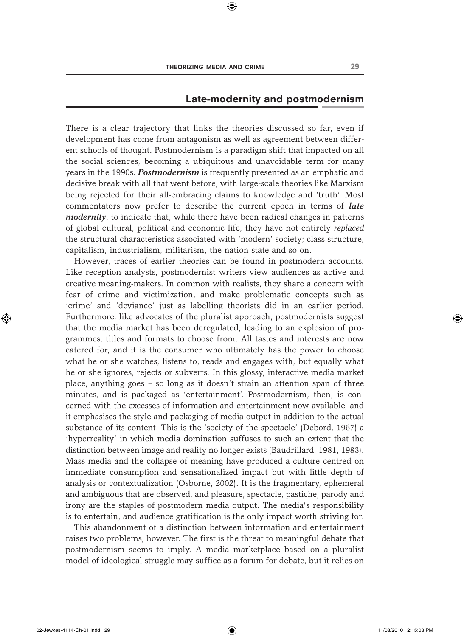⊕

# Late-modernity and postmodernism

There is a clear trajectory that links the theories discussed so far, even if development has come from antagonism as well as agreement between different schools of thought. Postmodernism is a paradigm shift that impacted on all the social sciences, becoming a ubiquitous and unavoidable term for many years in the 1990s. *Postmodernism* is frequently presented as an emphatic and decisive break with all that went before, with large-scale theories like Marxism being rejected for their all-embracing claims to knowledge and 'truth'. Most commentators now prefer to describe the current epoch in terms of *late modernity*, to indicate that, while there have been radical changes in patterns of global cultural, political and economic life, they have not entirely *replaced* the structural characteristics associated with 'modern' society; class structure, capitalism, industrialism, militarism, the nation state and so on.

However, traces of earlier theories can be found in postmodern accounts. Like reception analysts, postmodernist writers view audiences as active and creative meaning-makers. In common with realists, they share a concern with fear of crime and victimization, and make problematic concepts such as 'crime' and 'deviance' just as labelling theorists did in an earlier period. Furthermore, like advocates of the pluralist approach, postmodernists suggest that the media market has been deregulated, leading to an explosion of programmes, titles and formats to choose from. All tastes and interests are now catered for, and it is the consumer who ultimately has the power to choose what he or she watches, listens to, reads and engages with, but equally what he or she ignores, rejects or subverts. In this glossy, interactive media market place, anything goes – so long as it doesn't strain an attention span of three minutes, and is packaged as 'entertainment'. Postmodernism, then, is concerned with the excesses of information and entertainment now available, and it emphasises the style and packaging of media output in addition to the actual substance of its content. This is the 'society of the spectacle' (Debord, 1967) a 'hyperreality' in which media domination suffuses to such an extent that the distinction between image and reality no longer exists (Baudrillard, 1981, 1983). Mass media and the collapse of meaning have produced a culture centred on immediate consumption and sensationalized impact but with little depth of analysis or contextualization (Osborne, 2002). It is the fragmentary, ephemeral and ambiguous that are observed, and pleasure, spectacle, pastiche, parody and irony are the staples of postmodern media output. The media's responsibility is to entertain, and audience gratification is the only impact worth striving for.

This abandonment of a distinction between information and entertainment raises two problems, however. The first is the threat to meaningful debate that postmodernism seems to imply. A media marketplace based on a pluralist model of ideological struggle may suffice as a forum for debate, but it relies on

♠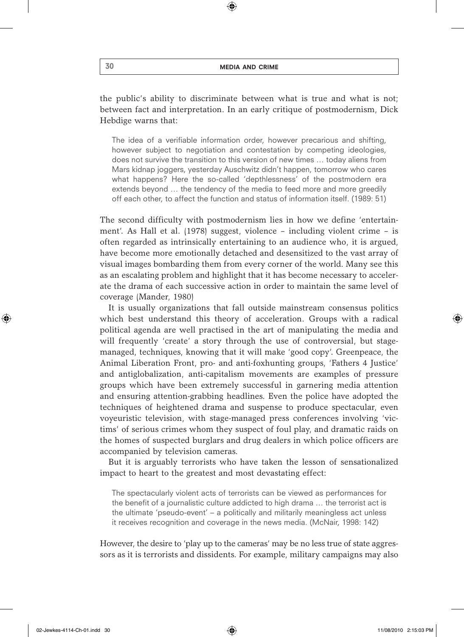$\textcircled{\scriptsize{*}}$ 

the public's ability to discriminate between what is true and what is not; between fact and interpretation. In an early critique of postmodernism, Dick Hebdige warns that:

The idea of a verifiable information order, however precarious and shifting, however subject to negotiation and contestation by competing ideologies, does not survive the transition to this version of new times … today aliens from Mars kidnap joggers, yesterday Auschwitz didn't happen, tomorrow who cares what happens? Here the so-called 'depthlessness' of the postmodern era extends beyond … the tendency of the media to feed more and more greedily off each other, to affect the function and status of information itself. (1989: 51)

The second difficulty with postmodernism lies in how we define 'entertainment'. As Hall et al. (1978) suggest, violence – including violent crime – is often regarded as intrinsically entertaining to an audience who, it is argued, have become more emotionally detached and desensitized to the vast array of visual images bombarding them from every corner of the world. Many see this as an escalating problem and highlight that it has become necessary to accelerate the drama of each successive action in order to maintain the same level of coverage (Mander, 1980)

It is usually organizations that fall outside mainstream consensus politics which best understand this theory of acceleration. Groups with a radical political agenda are well practised in the art of manipulating the media and will frequently 'create' a story through the use of controversial, but stagemanaged, techniques, knowing that it will make 'good copy'. Greenpeace, the Animal Liberation Front, pro- and anti-foxhunting groups, 'Fathers 4 Justice' and antiglobalization, anti-capitalism movements are examples of pressure groups which have been extremely successful in garnering media attention and ensuring attention-grabbing headlines. Even the police have adopted the techniques of heightened drama and suspense to produce spectacular, even voyeuristic television, with stage-managed press conferences involving 'victims' of serious crimes whom they suspect of foul play, and dramatic raids on the homes of suspected burglars and drug dealers in which police officers are accompanied by television cameras.

But it is arguably terrorists who have taken the lesson of sensationalized impact to heart to the greatest and most devastating effect:

The spectacularly violent acts of terrorists can be viewed as performances for the benefit of a journalistic culture addicted to high drama … the terrorist act is the ultimate 'pseudo-event' – a politically and militarily meaningless act unless it receives recognition and coverage in the news media. (McNair, 1998: 142)

However, the desire to 'play up to the cameras' may be no less true of state aggressors as it is terrorists and dissidents. For example, military campaigns may also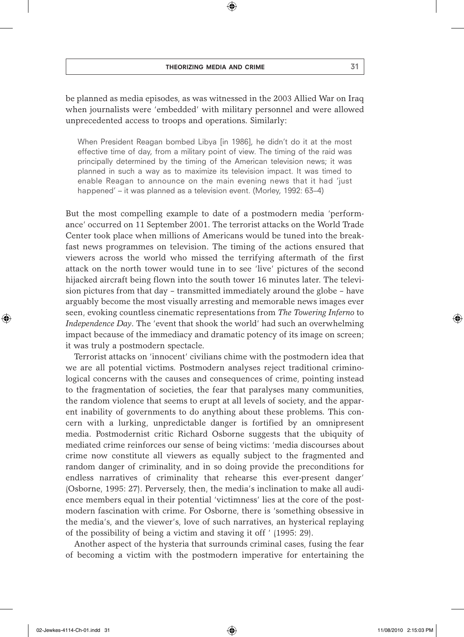# THEORIZING MEDIA AND CRIME **1999** 31

⊕

be planned as media episodes, as was witnessed in the 2003 Allied War on Iraq when journalists were 'embedded' with military personnel and were allowed unprecedented access to troops and operations. Similarly:

When President Reagan bombed Libya [in 1986], he didn't do it at the most effective time of day, from a military point of view. The timing of the raid was principally determined by the timing of the American television news; it was planned in such a way as to maximize its television impact. It was timed to enable Reagan to announce on the main evening news that it had 'just happened' – it was planned as a television event. (Morley, 1992: 63–4)

But the most compelling example to date of a postmodern media 'performance' occurred on 11 September 2001. The terrorist attacks on the World Trade Center took place when millions of Americans would be tuned into the breakfast news programmes on television. The timing of the actions ensured that viewers across the world who missed the terrifying aftermath of the first attack on the north tower would tune in to see 'live' pictures of the second hijacked aircraft being flown into the south tower 16 minutes later. The television pictures from that day – transmitted immediately around the globe – have arguably become the most visually arresting and memorable news images ever seen, evoking countless cinematic representations from *The Towering Inferno* to *Independence Day*. The 'event that shook the world' had such an overwhelming impact because of the immediacy and dramatic potency of its image on screen; it was truly a postmodern spectacle.

Terrorist attacks on 'innocent' civilians chime with the postmodern idea that we are all potential victims. Postmodern analyses reject traditional criminological concerns with the causes and consequences of crime, pointing instead to the fragmentation of societies, the fear that paralyses many communities, the random violence that seems to erupt at all levels of society, and the apparent inability of governments to do anything about these problems. This concern with a lurking, unpredictable danger is fortified by an omnipresent media. Postmodernist critic Richard Osborne suggests that the ubiquity of mediated crime reinforces our sense of being victims: 'media discourses about crime now constitute all viewers as equally subject to the fragmented and random danger of criminality, and in so doing provide the preconditions for endless narratives of criminality that rehearse this ever-present danger' (Osborne, 1995: 27). Perversely, then, the media's inclination to make all audience members equal in their potential 'victimness' lies at the core of the postmodern fascination with crime. For Osborne, there is 'something obsessive in the media's, and the viewer's, love of such narratives, an hysterical replaying of the possibility of being a victim and staving it off ' (1995: 29).

Another aspect of the hysteria that surrounds criminal cases, fusing the fear of becoming a victim with the postmodern imperative for entertaining the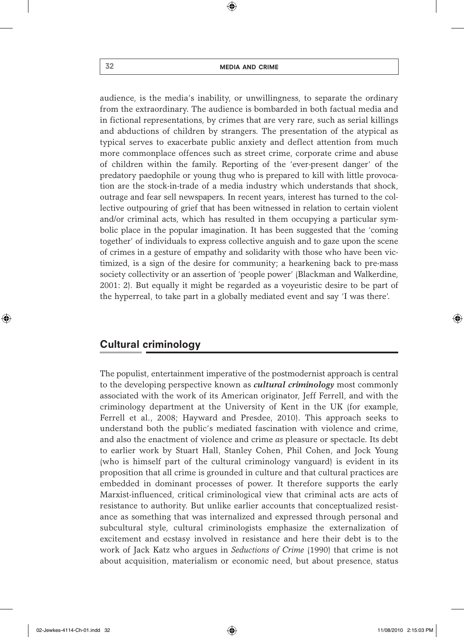$\textcircled{\scriptsize{*}}$ 

audience, is the media's inability, or unwillingness, to separate the ordinary from the extraordinary. The audience is bombarded in both factual media and in fictional representations, by crimes that are very rare, such as serial killings and abductions of children by strangers. The presentation of the atypical as typical serves to exacerbate public anxiety and deflect attention from much more commonplace offences such as street crime, corporate crime and abuse of children within the family. Reporting of the 'ever-present danger' of the predatory paedophile or young thug who is prepared to kill with little provocation are the stock-in-trade of a media industry which understands that shock, outrage and fear sell newspapers. In recent years, interest has turned to the collective outpouring of grief that has been witnessed in relation to certain violent and/or criminal acts, which has resulted in them occupying a particular symbolic place in the popular imagination. It has been suggested that the 'coming together' of individuals to express collective anguish and to gaze upon the scene of crimes in a gesture of empathy and solidarity with those who have been victimized, is a sign of the desire for community; a hearkening back to pre-mass society collectivity or an assertion of 'people power' (Blackman and Walkerdine, 2001: 2). But equally it might be regarded as a voyeuristic desire to be part of the hyperreal, to take part in a globally mediated event and say 'I was there'.

# Cultural criminology

The populist, entertainment imperative of the postmodernist approach is central to the developing perspective known as *cultural criminology* most commonly associated with the work of its American originator, Jeff Ferrell, and with the criminology department at the University of Kent in the UK (for example, Ferrell et al., 2008; Hayward and Presdee, 2010). This approach seeks to understand both the public's mediated fascination with violence and crime, and also the enactment of violence and crime *as* pleasure or spectacle. Its debt to earlier work by Stuart Hall, Stanley Cohen, Phil Cohen, and Jock Young (who is himself part of the cultural criminology vanguard) is evident in its proposition that all crime is grounded in culture and that cultural practices are embedded in dominant processes of power. It therefore supports the early Marxist-influenced, critical criminological view that criminal acts are acts of resistance to authority. But unlike earlier accounts that conceptualized resistance as something that was internalized and expressed through personal and subcultural style, cultural criminologists emphasize the externalization of excitement and ecstasy involved in resistance and here their debt is to the work of Jack Katz who argues in *Seductions of Crime* (1990) that crime is not about acquisition, materialism or economic need, but about presence, status

♠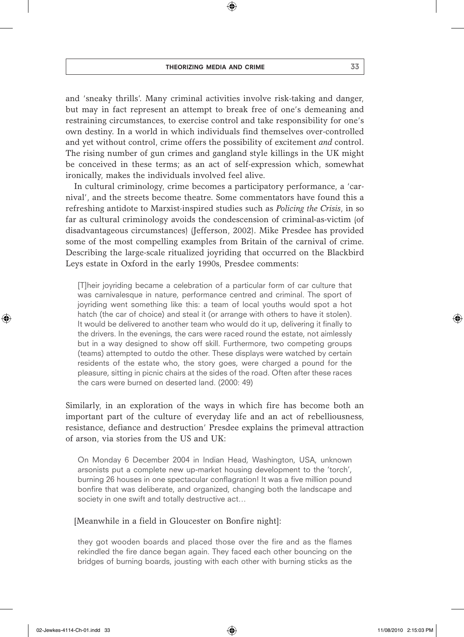# THEORIZING MEDIA AND CRIME **1999** 33

⊕

and 'sneaky thrills'. Many criminal activities involve risk-taking and danger, but may in fact represent an attempt to break free of one's demeaning and restraining circumstances, to exercise control and take responsibility for one's own destiny. In a world in which individuals find themselves over-controlled and yet without control, crime offers the possibility of excitement *and* control. The rising number of gun crimes and gangland style killings in the UK might be conceived in these terms; as an act of self-expression which, somewhat ironically, makes the individuals involved feel alive.

In cultural criminology, crime becomes a participatory performance, a 'carnival', and the streets become theatre. Some commentators have found this a refreshing antidote to Marxist-inspired studies such as *Policing the Crisis*, in so far as cultural criminology avoids the condescension of criminal-as-victim (of disadvantageous circumstances) (Jefferson, 2002). Mike Presdee has provided some of the most compelling examples from Britain of the carnival of crime. Describing the large-scale ritualized joyriding that occurred on the Blackbird Leys estate in Oxford in the early 1990s, Presdee comments:

[T]heir joyriding became a celebration of a particular form of car culture that was carnivalesque in nature, performance centred and criminal. The sport of joyriding went something like this: a team of local youths would spot a hot hatch (the car of choice) and steal it (or arrange with others to have it stolen). It would be delivered to another team who would do it up, delivering it finally to the drivers. In the evenings, the cars were raced round the estate, not aimlessly but in a way designed to show off skill. Furthermore, two competing groups (teams) attempted to outdo the other. These displays were watched by certain residents of the estate who, the story goes, were charged a pound for the pleasure, sitting in picnic chairs at the sides of the road. Often after these races the cars were burned on deserted land. (2000: 49)

Similarly, in an exploration of the ways in which fire has become both an important part of the culture of everyday life and an act of rebelliousness, resistance, defiance and destruction' Presdee explains the primeval attraction of arson, via stories from the US and UK:

On Monday 6 December 2004 in Indian Head, Washington, USA, unknown arsonists put a complete new up-market housing development to the 'torch', burning 26 houses in one spectacular conflagration! It was a five million pound bonfire that was deliberate, and organized, changing both the landscape and society in one swift and totally destructive act…

#### [Meanwhile in a field in Gloucester on Bonfire night]:

they got wooden boards and placed those over the fire and as the flames rekindled the fire dance began again. They faced each other bouncing on the bridges of burning boards, jousting with each other with burning sticks as the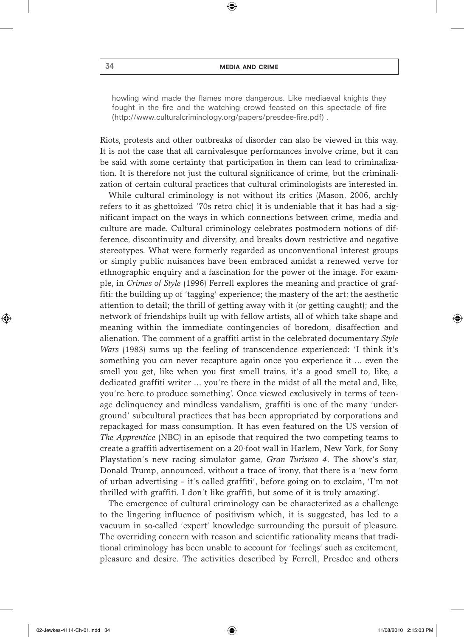$\textcircled{\scriptsize{*}}$ 

howling wind made the flames more dangerous. Like mediaeval knights they fought in the fire and the watching crowd feasted on this spectacle of fire (http://www.culturalcriminology.org/papers/presdee-fire.pdf) .

Riots, protests and other outbreaks of disorder can also be viewed in this way. It is not the case that all carnivalesque performances involve crime, but it can be said with some certainty that participation in them can lead to criminalization. It is therefore not just the cultural significance of crime, but the criminalization of certain cultural practices that cultural criminologists are interested in.

While cultural criminology is not without its critics (Mason, 2006, archly refers to it as ghettoized '70s retro chic) it is undeniable that it has had a significant impact on the ways in which connections between crime, media and culture are made. Cultural criminology celebrates postmodern notions of difference, discontinuity and diversity, and breaks down restrictive and negative stereotypes. What were formerly regarded as unconventional interest groups or simply public nuisances have been embraced amidst a renewed verve for ethnographic enquiry and a fascination for the power of the image. For example, in *Crimes of Style* (1996) Ferrell explores the meaning and practice of graffiti: the building up of 'tagging' experience; the mastery of the art; the aesthetic attention to detail; the thrill of getting away with it (or getting caught); and the network of friendships built up with fellow artists, all of which take shape and meaning within the immediate contingencies of boredom, disaffection and alienation. The comment of a graffiti artist in the celebrated documentary *Style Wars* (1983) sums up the feeling of transcendence experienced: 'I think it's something you can never recapture again once you experience it ... even the smell you get, like when you first smell trains, it's a good smell to, like, a dedicated graffiti writer ... you're there in the midst of all the metal and, like, you're here to produce something'. Once viewed exclusively in terms of teenage delinquency and mindless vandalism, graffiti is one of the many 'underground' subcultural practices that has been appropriated by corporations and repackaged for mass consumption. It has even featured on the US version of *The Apprentice* (NBC) in an episode that required the two competing teams to create a graffiti advertisement on a 20-foot wall in Harlem, New York, for Sony Playstation's new racing simulator game, *Gran Turismo 4*. The show's star, Donald Trump, announced, without a trace of irony, that there is a 'new form of urban advertising – it's called graffiti', before going on to exclaim, 'I'm not thrilled with graffiti. I don't like graffiti, but some of it is truly amazing'.

The emergence of cultural criminology can be characterized as a challenge to the lingering influence of positivism which, it is suggested, has led to a vacuum in so-called 'expert' knowledge surrounding the pursuit of pleasure. The overriding concern with reason and scientific rationality means that traditional criminology has been unable to account for 'feelings' such as excitement, pleasure and desire. The activities described by Ferrell, Presdee and others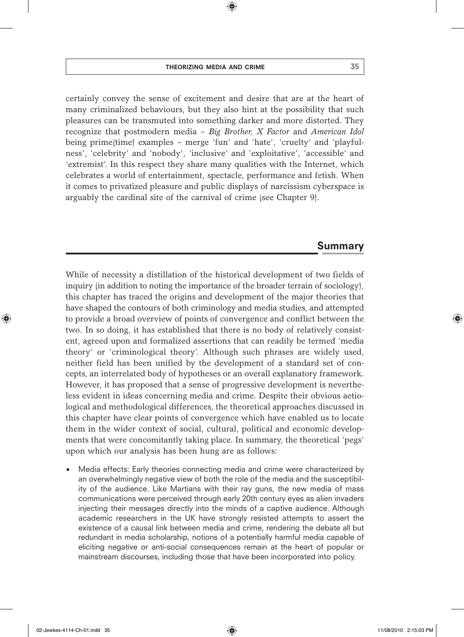# THEORIZING MEDIA AND CRIME **35**

 $\textcircled{\scriptsize{*}}$ 

certainly convey the sense of excitement and desire that are at the heart of many criminalized behaviours, but they also hint at the possibility that such pleasures can be transmuted into something darker and more distorted. They recognize that postmodern media – *Big Brother, X Factor* and *American Idol*  being prime(time) examples – merge 'fun' and 'hate', 'cruelty' and 'playfulness', 'celebrity' and 'nobody', 'inclusive' and 'exploitative', 'accessible' and 'extremist'. In this respect they share many qualities with the Internet, which celebrates a world of entertainment, spectacle, performance and fetish. When it comes to privatized pleasure and public displays of narcissism cyberspace is arguably the cardinal site of the carnival of crime (see Chapter 9).

# Summary

While of necessity a distillation of the historical development of two fields of inquiry (in addition to noting the importance of the broader terrain of sociology), this chapter has traced the origins and development of the major theories that have shaped the contours of both criminology and media studies, and attempted to provide a broad overview of points of convergence and conflict between the two. In so doing, it has established that there is no body of relatively consistent, agreed upon and formalized assertions that can readily be termed 'media theory' or 'criminological theory'. Although such phrases are widely used, neither field has been unified by the development of a standard set of concepts, an interrelated body of hypotheses or an overall explanatory framework. However, it has proposed that a sense of progressive development is nevertheless evident in ideas concerning media and crime. Despite their obvious aetiological and methodological differences, the theoretical approaches discussed in this chapter have clear points of convergence which have enabled us to locate them in the wider context of social, cultural, political and economic developments that were concomitantly taking place. In summary, the theoretical 'pegs' upon which our analysis has been hung are as follows:

• Media effects: Early theories connecting media and crime were characterized by an overwhelmingly negative view of both the role of the media and the susceptibility of the audience. Like Martians with their ray guns, the new media of mass communications were perceived through early 20th century eyes as alien invaders injecting their messages directly into the minds of a captive audience. Although academic researchers in the UK have strongly resisted attempts to assert the existence of a causal link between media and crime, rendering the debate all but redundant in media scholarship, notions of a potentially harmful media capable of eliciting negative or anti-social consequences remain at the heart of popular or mainstream discourses, including those that have been incorporated into policy.

♠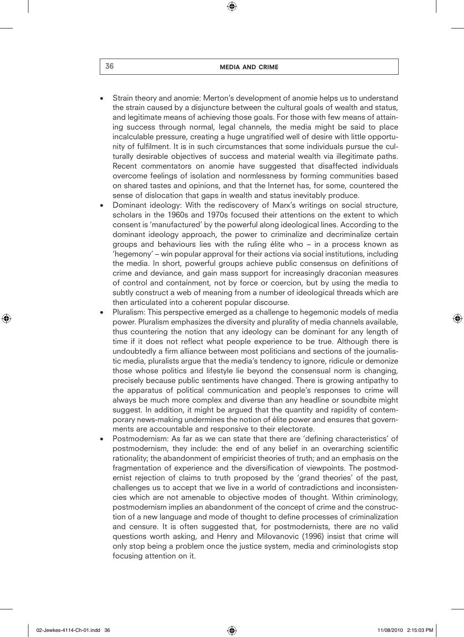$\textcircled{\scriptsize{*}}$ 

- Strain theory and anomie: Merton's development of anomie helps us to understand the strain caused by a disjuncture between the cultural goals of wealth and status, and legitimate means of achieving those goals. For those with few means of attaining success through normal, legal channels, the media might be said to place incalculable pressure, creating a huge ungratified well of desire with little opportunity of fulfilment. It is in such circumstances that some individuals pursue the culturally desirable objectives of success and material wealth via illegitimate paths. Recent commentators on anomie have suggested that disaffected individuals overcome feelings of isolation and normlessness by forming communities based on shared tastes and opinions, and that the Internet has, for some, countered the sense of dislocation that gaps in wealth and status inevitably produce.
- Dominant ideology: With the rediscovery of Marx's writings on social structure, scholars in the 1960s and 1970s focused their attentions on the extent to which consent is 'manufactured' by the powerful along ideological lines. According to the dominant ideology approach, the power to criminalize and decriminalize certain groups and behaviours lies with the ruling élite who – in a process known as 'hegemony' – win popular approval for their actions via social institutions, including the media. In short, powerful groups achieve public consensus on definitions of crime and deviance, and gain mass support for increasingly draconian measures of control and containment, not by force or coercion, but by using the media to subtly construct a web of meaning from a number of ideological threads which are then articulated into a coherent popular discourse.
- Pluralism: This perspective emerged as a challenge to hegemonic models of media power. Pluralism emphasizes the diversity and plurality of media channels available, thus countering the notion that any ideology can be dominant for any length of time if it does not reflect what people experience to be true. Although there is undoubtedly a firm alliance between most politicians and sections of the journalistic media, pluralists argue that the media's tendency to ignore, ridicule or demonize those whose politics and lifestyle lie beyond the consensual norm is changing, precisely because public sentiments have changed. There is growing antipathy to the apparatus of political communication and people's responses to crime will always be much more complex and diverse than any headline or soundbite might suggest. In addition, it might be argued that the quantity and rapidity of contemporary news-making undermines the notion of élite power and ensures that governments are accountable and responsive to their electorate.
- Postmodernism: As far as we can state that there are 'defining characteristics' of postmodernism, they include: the end of any belief in an overarching scientific rationality; the abandonment of empiricist theories of truth; and an emphasis on the fragmentation of experience and the diversification of viewpoints. The postmodernist rejection of claims to truth proposed by the 'grand theories' of the past, challenges us to accept that we live in a world of contradictions and inconsistencies which are not amenable to objective modes of thought. Within criminology, postmodernism implies an abandonment of the concept of crime and the construction of a new language and mode of thought to define processes of criminalization and censure. It is often suggested that, for postmodernists, there are no valid questions worth asking, and Henry and Milovanovic (1996) insist that crime will only stop being a problem once the justice system, media and criminologists stop focusing attention on it.

⊕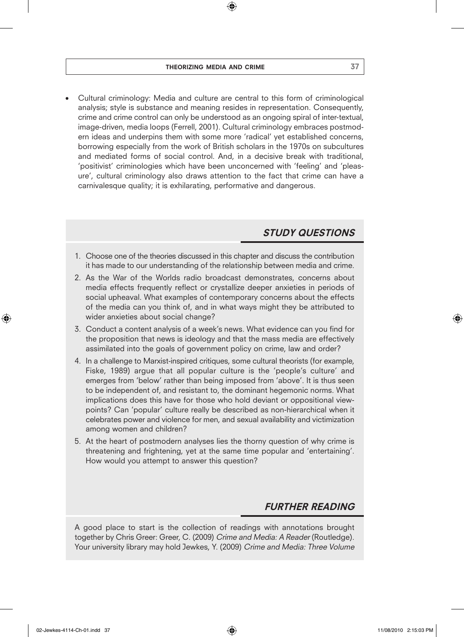# THEORIZING MEDIA AND CRIME **1999** 37

 $\textcircled{\scriptsize{*}}$ 

• Cultural criminology: Media and culture are central to this form of criminological analysis; style is substance and meaning resides in representation. Consequently, crime and crime control can only be understood as an ongoing spiral of inter-textual, image-driven, media loops (Ferrell, 2001). Cultural criminology embraces postmodern ideas and underpins them with some more 'radical' yet established concerns, borrowing especially from the work of British scholars in the 1970s on subcultures and mediated forms of social control. And, in a decisive break with traditional, 'positivist' criminologies which have been unconcerned with 'feeling' and 'pleasure', cultural criminology also draws attention to the fact that crime can have a carnivalesque quality; it is exhilarating, performative and dangerous.

# STUDY QUESTIONS

- 1. Choose one of the theories discussed in this chapter and discuss the contribution it has made to our understanding of the relationship between media and crime.
- 2. As the War of the Worlds radio broadcast demonstrates, concerns about media effects frequently reflect or crystallize deeper anxieties in periods of social upheaval. What examples of contemporary concerns about the effects of the media can you think of, and in what ways might they be attributed to wider anxieties about social change?
- 3. Conduct a content analysis of a week's news. What evidence can you find for the proposition that news is ideology and that the mass media are effectively assimilated into the goals of government policy on crime, law and order?
- 4. In a challenge to Marxist-inspired critiques, some cultural theorists (for example, Fiske, 1989) argue that all popular culture is the 'people's culture' and emerges from 'below' rather than being imposed from 'above'. It is thus seen to be independent of, and resistant to, the dominant hegemonic norms. What implications does this have for those who hold deviant or oppositional viewpoints? Can 'popular' culture really be described as non-hierarchical when it celebrates power and violence for men, and sexual availability and victimization among women and children?
- 5. At the heart of postmodern analyses lies the thorny question of why crime is threatening and frightening, yet at the same time popular and 'entertaining'. How would you attempt to answer this question?

# FURTHER READING

A good place to start is the collection of readings with annotations brought together by Chris Greer: Greer, C. (2009) Crime and Media: A Reader (Routledge). Your university library may hold Jewkes, Y. (2009) Crime and Media: Three Volume

♠

#### 02-Jewkes-4114-Ch-01.indd 37 11/08/2010 2:15:03 PM